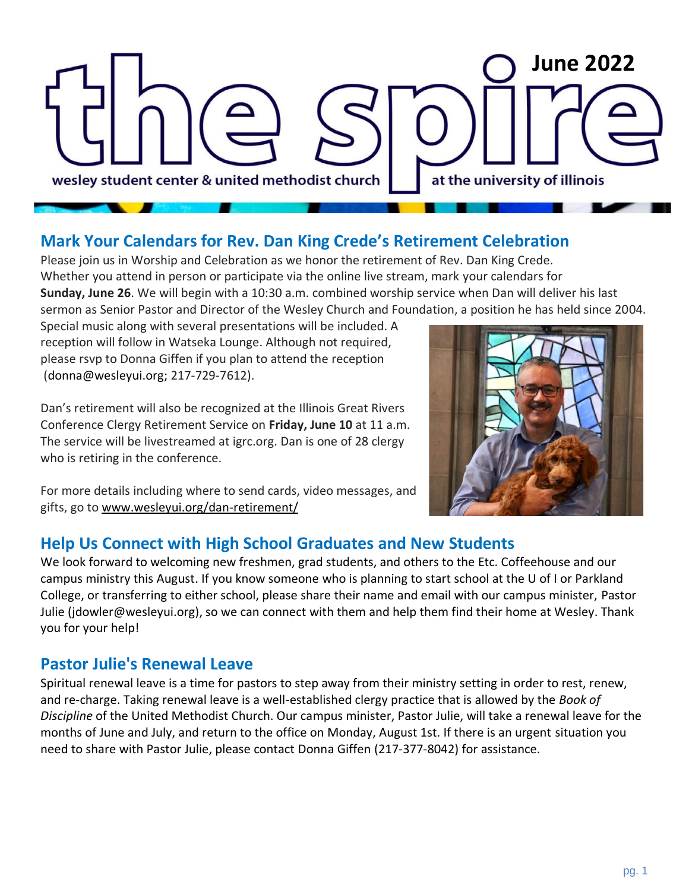## **February <sup>2022</sup> June 2022**wesley student center & united methodist church at the university of illinois

## **Mark Your Calendars for Rev. Dan King Crede's Retirement Celebration**

Please join us in Worship and Celebration as we honor the retirement of Rev. Dan King Crede. Whether you attend in person or participate via the online live stream, mark your calendars for **Sunday, June 26**. We will begin with a 10:30 a.m. combined worship service when Dan will deliver his last sermon as Senior Pastor and Director of the Wesley Church and Foundation, a position he has held since 2004.

Special music along with several presentations will be included. A reception will follow in Watseka Lounge. Although not required, please rsvp to Donna Giffen if you plan to attend the reception [\(donna@wesleyui.org;](mailto:donna@wesleyui.org) 217-729-7612).

Dan's retirement will also be recognized at the Illinois Great Rivers Conference Clergy Retirement Service on **Friday, June 10** at 11 a.m. The service will be livestreamed at igrc.org. Dan is one of 28 clergy who is retiring in the conference.



For more details including where to send cards, video messages, and gifts, go to [www.wesleyui.org/dan-retirement/](http://www.wesleyui.org/dan-retirement/)

#### **Help Us Connect with High School Graduates and New Students**

We look forward to welcoming new freshmen, grad students, and others to the Etc. Coffeehouse and our campus ministry this August. If you know someone who is planning to start school at the U of I or Parkland College, or transferring to either school, please share their name and email with our campus minister, [Pastor](mailto:jdowler@wesleyui.org)  [Julie](mailto:jdowler@wesleyui.org) (jdowler@wesleyui.org), so we can connect with them and help them find their home at Wesley. Thank you for your help!

## **Pastor Julie's Renewal Leave**

Spiritual renewal leave is a time for pastors to step away from their ministry setting in order to rest, renew, and re-charge. Taking renewal leave is a well-established clergy practice that is allowed by the *Book of Discipline* of the United Methodist Church. Our campus minister, Pastor Julie, will take a renewal leave for the months of June and July, and return to the office on Monday, August 1st. If there is an urgent situation you need to share with Pastor Julie, please contact [Donna Giffen](mailto:donna@wesleyui.org) (217-377-8042) for assistance.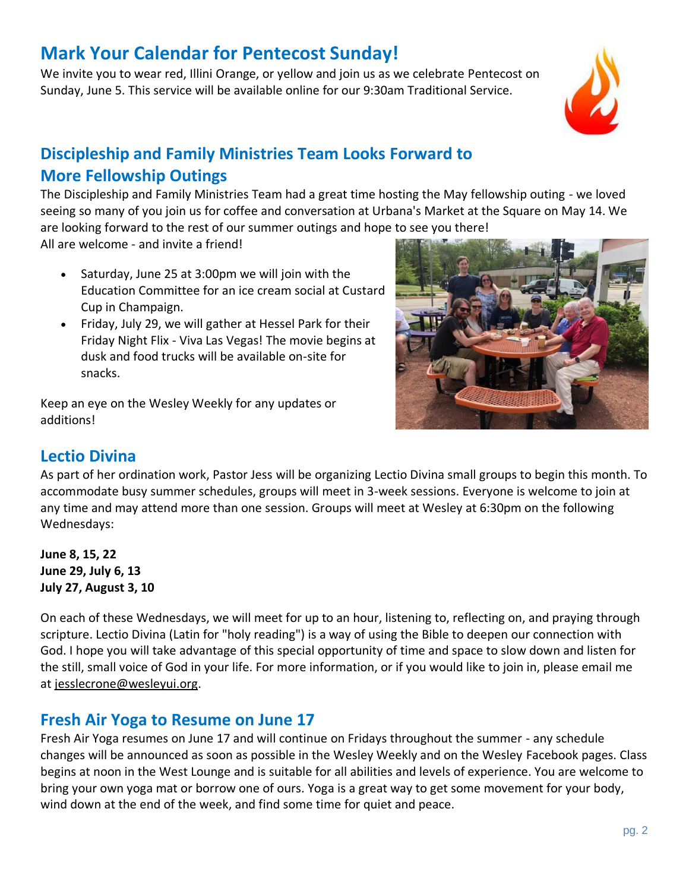## **Mark Your Calendar for Pentecost Sunday!**

We invite you to wear red, Illini Orange, or yellow and join us as we celebrate Pentecost on Sunday, June 5. This service will be available online for our 9:30am Traditional Service.



## **Discipleship and Family Ministries Team Looks Forward to More Fellowship Outings**

The Discipleship and Family Ministries Team had a great time hosting the May fellowship outing - we loved seeing so many of you join us for coffee and conversation at Urbana's Market at the Square on May 14. We are looking forward to the rest of our summer outings and hope to see you there!

All are welcome - and invite a friend!

- Saturday, June 25 at 3:00pm we will join with the Education Committee for an ice cream social at Custard Cup in Champaign.
- Friday, July 29, we will gather at Hessel Park for their Friday Night Flix - Viva Las Vegas! The movie begins at dusk and food trucks will be available on-site for snacks.

Keep an eye on the Wesley Weekly for any updates or additions!



## **Lectio Divina**

As part of her ordination work, Pastor Jess will be organizing Lectio Divina small groups to begin this month. To accommodate busy summer schedules, groups will meet in 3-week sessions. Everyone is welcome to join at any time and may attend more than one session. Groups will meet at Wesley at 6:30pm on the following Wednesdays:

**June 8, 15, 22 June 29, July 6, 13 July 27, August 3, 10**

On each of these Wednesdays, we will meet for up to an hour, listening to, reflecting on, and praying through scripture. Lectio Divina (Latin for "holy reading") is a way of using the Bible to deepen our connection with God. I hope you will take advantage of this special opportunity of time and space to slow down and listen for the still, small voice of God in your life. For more information, or if you would like to join in, please email me at [jesslecrone@wesleyui.org.](mailto:jesslecrone@wesleyui.org)

## **Fresh Air Yoga to Resume on June 17**

Fresh Air Yoga resumes on June 17 and will continue on Fridays throughout the summer - any schedule changes will be announced as soon as possible in the Wesley Weekly and on the Wesley Facebook pages. Class begins at noon in the West Lounge and is suitable for all abilities and levels of experience. You are welcome to bring your own yoga mat or borrow one of ours. Yoga is a great way to get some movement for your body, wind down at the end of the week, and find some time for quiet and peace.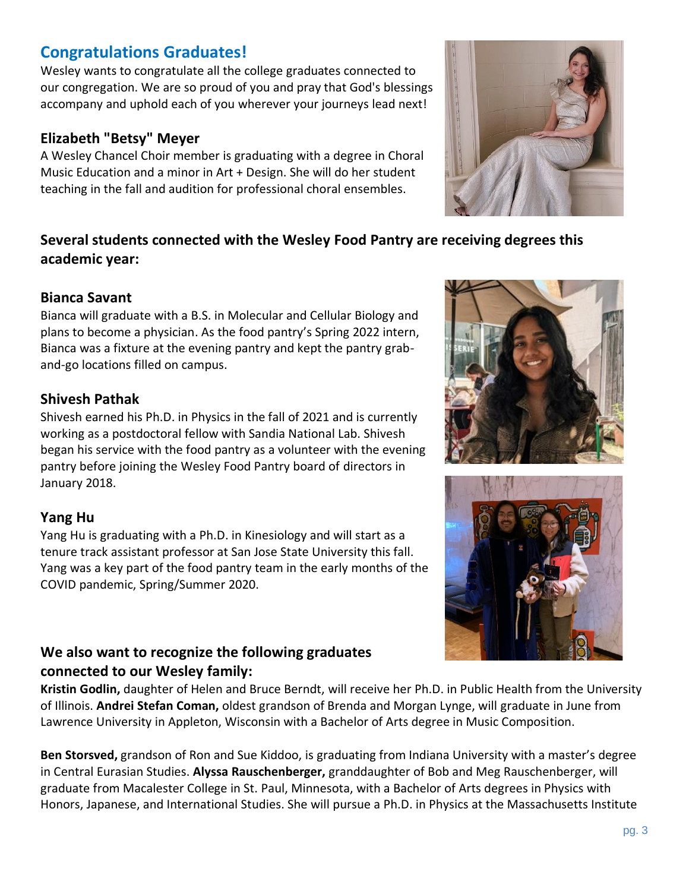## **Congratulations Graduates!**

Wesley wants to congratulate all the college graduates connected to our congregation. We are so proud of you and pray that God's blessings accompany and uphold each of you wherever your journeys lead next!

#### **Elizabeth "Betsy" Meyer**

A Wesley Chancel Choir member is graduating with a degree in Choral Music Education and a minor in Art + Design. She will do her student teaching in the fall and audition for professional choral ensembles.

#### **Several students connected with the Wesley Food Pantry are receiving degrees this academic year:**

#### **Bianca Savant**

Bianca will graduate with a B.S. in Molecular and Cellular Biology and plans to become a physician. As the food pantry's Spring 2022 intern, Bianca was a fixture at the evening pantry and kept the pantry graband-go locations filled on campus.

#### **Shivesh Pathak**

Shivesh earned his Ph.D. in Physics in the fall of 2021 and is currently working as a postdoctoral fellow with Sandia National Lab. Shivesh began his service with the food pantry as a volunteer with the evening pantry before joining the Wesley Food Pantry board of directors in January 2018.

#### **Yang Hu**

Yang Hu is graduating with a Ph.D. in Kinesiology and will start as a tenure track assistant professor at San Jose State University this fall. Yang was a key part of the food pantry team in the early months of the COVID pandemic, Spring/Summer 2020.

#### **We also want to recognize the following graduates connected to our Wesley family:**

**Kristin Godlin,** daughter of Helen and Bruce Berndt, will receive her Ph.D. in Public Health from the University of Illinois. **Andrei Stefan Coman,** oldest grandson of Brenda and Morgan Lynge, will graduate in June from Lawrence University in Appleton, Wisconsin with a Bachelor of Arts degree in Music Composition.

**Ben Storsved,** grandson of Ron and Sue Kiddoo, is graduating from Indiana University with a master's degree in Central Eurasian Studies. **Alyssa Rauschenberger,** granddaughter of Bob and Meg Rauschenberger, will graduate from Macalester College in St. Paul, Minnesota, with a Bachelor of Arts degrees in Physics with Honors, Japanese, and International Studies. She will pursue a Ph.D. in Physics at the Massachusetts Institute





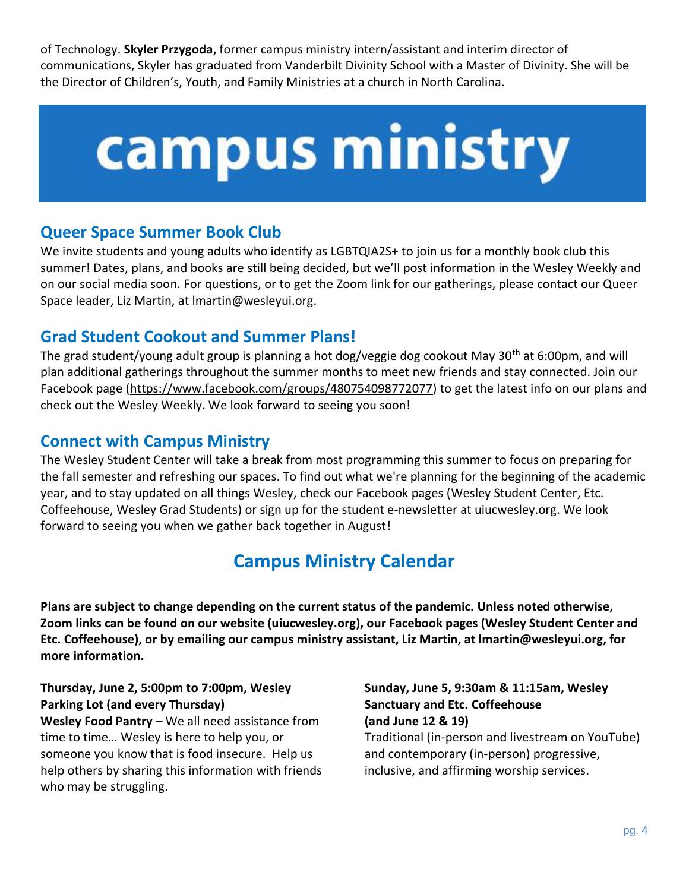of Technology. **Skyler Przygoda,** former campus ministry intern/assistant and interim director of communications, Skyler has graduated from Vanderbilt Divinity School with a Master of Divinity. She will be the Director of Children's, Youth, and Family Ministries at a church in North Carolina.

# campus ministry

## **Queer Space Summer Book Club**

We invite students and young adults who identify as LGBTQIA2S+ to join us for a monthly book club this summer! Dates, plans, and books are still being decided, but we'll post information in the Wesley Weekly and on our social media soon. For questions, or to get the Zoom link for our gatherings, please contact our Queer Space leader, Liz Martin, at [lmartin@wesleyui.org.](mailto:lmartin@wesleyui.org)

#### **Grad Student Cookout and Summer Plans!**

The grad student/young adult group is planning a hot dog/veggie dog cookout May 30<sup>th</sup> at 6:00pm, and will plan additional gatherings throughout the summer months to meet new friends and stay connected. Join our Facebook page [\(https://www.facebook.com/groups/480754098772077\)](https://www.facebook.com/groups/480754098772077) to get the latest info on our plans and check out the Wesley Weekly. We look forward to seeing you soon!

#### **Connect with Campus Ministry**

The Wesley Student Center will take a break from most programming this summer to focus on preparing for the fall semester and refreshing our spaces. To find out what we're planning for the beginning of the academic year, and to stay updated on all things Wesley, check our Facebook pages [\(Wesley Student Center,](https://www.facebook.com/wesleyuiuc/) [Etc.](https://www.facebook.com/EtcCoffeehouse/)  [Coffeehouse,](https://www.facebook.com/EtcCoffeehouse/) [Wesley Grad Students\)](http://facebook.com/wesleygradstudents/?ref=bookmarks) or sign up for the student e-newsletter a[t uiucwesley.org.](http://uiucwesley.org/) We look forward to seeing you when we gather back together in August!

## **Campus Ministry Calendar**

**Plans are subject to change depending on the current status of the pandemic. Unless noted otherwise, Zoom links can be found on our website (uiucwesley.org), our Facebook pages (Wesley Student Center and Etc. Coffeehouse), or by emailing our campus ministry assistant, Liz Martin, at lmartin@wesleyui.org, for more information.**

#### **Thursday, June 2, 5:00pm to 7:00pm, Wesley Parking Lot (and every Thursday)**

**Wesley Food Pantry** – We all need assistance from time to time… Wesley is here to help you, or someone you know that is food insecure. Help us help others by sharing this information with friends who may be struggling.

**Sunday, June 5, 9:30am & 11:15am, Wesley Sanctuary and Etc. Coffeehouse (and June 12 & 19)**  Traditional (in-person and livestream on YouTube) and contemporary (in-person) progressive, inclusive, and affirming worship services.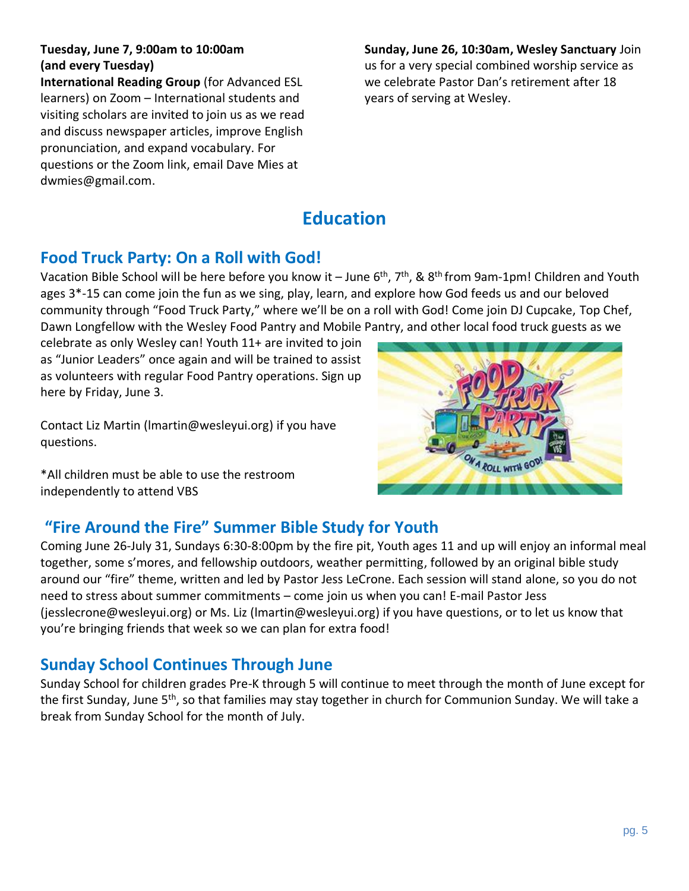#### **Tuesday, June 7, 9:00am to 10:00am (and every Tuesday)**

**International Reading Group** (for Advanced ESL learners) on Zoom – International students and visiting scholars are invited to join us as we read and discuss newspaper articles, improve English pronunciation, and expand vocabulary. For questions or the Zoom link, email Dave Mies at [dwmies@gmail.com.](mailto:dwmies@gmail.com)

**Sunday, June 26, 10:30am, Wesley Sanctuary** Join us for a very special combined worship service as we celebrate Pastor Dan's retirement after 18 years of serving at Wesley.

## **Education**

#### **Food Truck Party: On a Roll with God!**

Vacation Bible School will be here before you know it – June  $6^{th}$ ,  $7^{th}$ , &  $8^{th}$  from 9am-1pm! Children and Youth ages 3\*-15 can come join the fun as we sing, play, learn, and explore how God feeds us and our beloved community through "Food Truck Party," where we'll be on a roll with God! Come join DJ Cupcake, Top Chef, Dawn Longfellow with the Wesley Food Pantry and Mobile Pantry, and other local food truck guests as we

celebrate as only Wesley can! Youth 11+ are invited to join as "Junior Leaders" once again and will be trained to assist as volunteers with regular Food Pantry operations. Sign up [here](https://forms.gle/i2YhnK66zhwHDk9A7) by Friday, June 3.

Contact Liz Martin [\(lmartin@wesleyui.org\)](mailto:lmartin@wesleyui.org) if you have questions.

\*All children must be able to use the restroom independently to attend VBS

## **"Fire Around the Fire" Summer Bible Study for Youth**

Coming June 26-July 31, Sundays 6:30-8:00pm by the fire pit, Youth ages 11 and up will enjoy an informal meal together, some s'mores, and fellowship outdoors, weather permitting, followed by an original bible study around our "fire" theme, written and led by Pastor Jess LeCrone. Each session will stand alone, so you do not need to stress about summer commitments – come join us when you can! E-mail Pastor Jess [\(jesslecrone@wesleyui.org\)](mailto:jesslecrone@wesleyui.org) or Ms. Liz [\(lmartin@wesleyui.org\)](mailto:lmartin@wesleyui.org) if you have questions, or to let us know that you're bringing friends that week so we can plan for extra food!

#### **Sunday School Continues Through June**

Sunday School for children grades Pre-K through 5 will continue to meet through the month of June except for the first Sunday, June 5th, so that families may stay together in church for Communion Sunday. We will take a break from Sunday School for the month of July.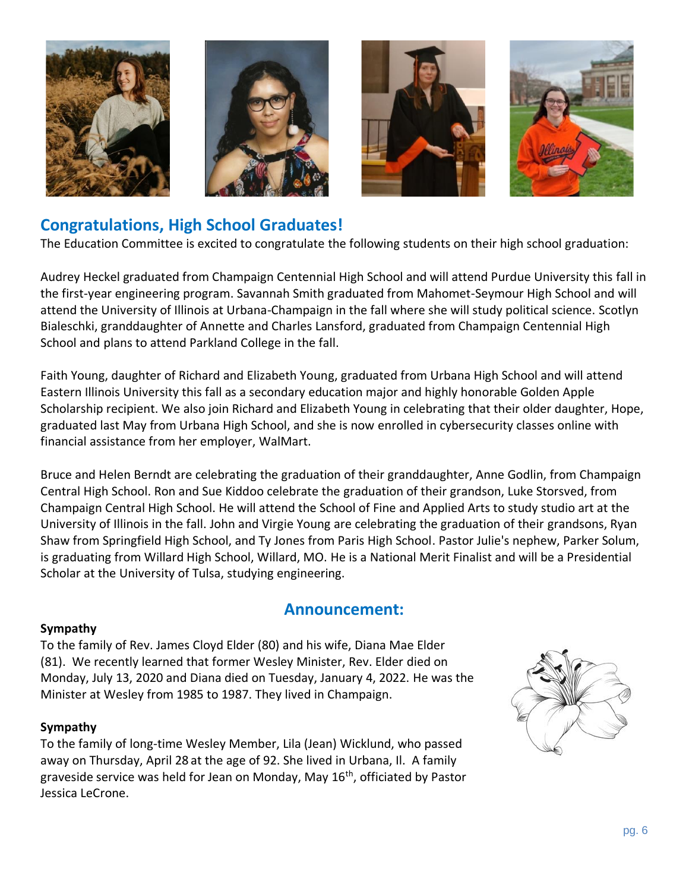

#### **Congratulations, High School Graduates!**

The Education Committee is excited to congratulate the following students on their high school graduation:

Audrey Heckel graduated from Champaign Centennial High School and will attend Purdue University this fall in the first-year engineering program. Savannah Smith graduated from Mahomet-Seymour High School and will attend the University of Illinois at Urbana-Champaign in the fall where she will study political science. Scotlyn Bialeschki, granddaughter of Annette and Charles Lansford, graduated from Champaign Centennial High School and plans to attend Parkland College in the fall.

Faith Young, daughter of Richard and Elizabeth Young, graduated from Urbana High School and will attend Eastern Illinois University this fall as a secondary education major and highly honorable Golden Apple Scholarship recipient. We also join Richard and Elizabeth Young in celebrating that their older daughter, Hope, graduated last May from Urbana High School, and she is now enrolled in cybersecurity classes online with financial assistance from her employer, WalMart.

Bruce and Helen Berndt are celebrating the graduation of their granddaughter, Anne Godlin, from Champaign Central High School. Ron and Sue Kiddoo celebrate the graduation of their grandson, Luke Storsved, from Champaign Central High School. He will attend the School of Fine and Applied Arts to study studio art at the University of Illinois in the fall. John and Virgie Young are celebrating the graduation of their grandsons, Ryan Shaw from Springfield High School, and Ty Jones from Paris High School. Pastor Julie's nephew, Parker Solum, is graduating from Willard High School, Willard, MO. He is a National Merit Finalist and will be a Presidential Scholar at the University of Tulsa, studying engineering.

#### **Announcement:**

#### **Sympathy**

To the family of Rev. James Cloyd Elder (80) and his wife, Diana Mae Elder (81). We recently learned that former Wesley Minister, Rev. Elder died on Monday, July 13, 2020 and Diana died on Tuesday, January 4, 2022. He was the Minister at Wesley from 1985 to 1987. They lived in Champaign.

#### **Sympathy**

To the family of long-time Wesley Member, Lila (Jean) Wicklund, who passed away on Thursday, April 28 at the age of 92. She lived in Urbana, Il. A family graveside service was held for Jean on Monday, May  $16<sup>th</sup>$ , officiated by Pastor Jessica LeCrone.

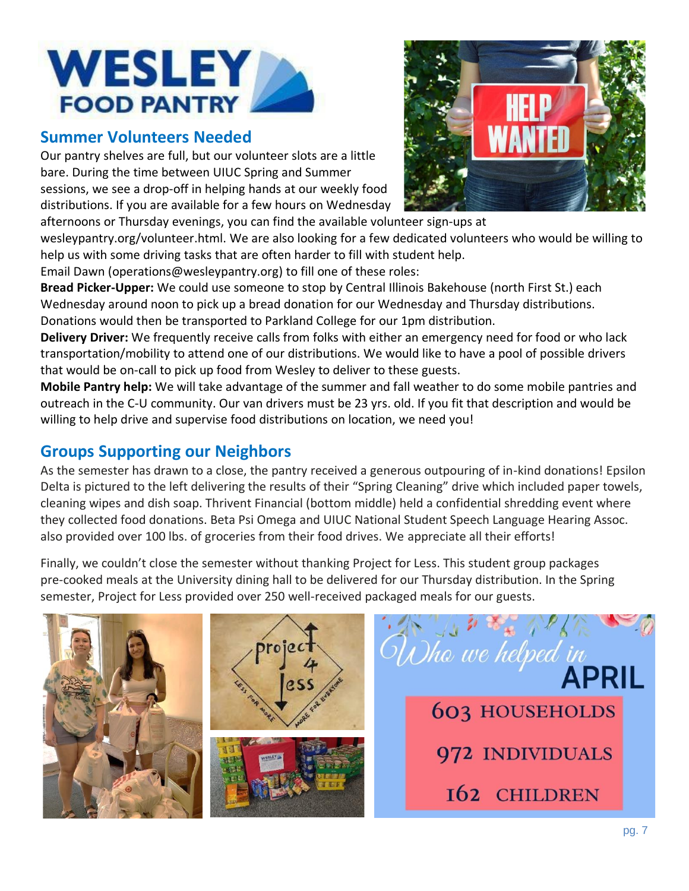

#### **Summer Volunteers Needed**

Our pantry shelves are full, but our volunteer slots are a little bare. During the time between UIUC Spring and Summer sessions, we see a drop-off in helping hands at our weekly food distributions. If you are available for a few hours on Wednesday



wesleypantry.org/volunteer.html. We are also looking for a few dedicated volunteers who would be willing to help us with some driving tasks that are often harder to fill with student help.

Email Dawn [\(operations@wesleypantry.org\)](mailto:operations@wesleypantry.org) to fill one of these roles:

**Bread Picker-Upper:** We could use someone to stop by Central Illinois Bakehouse (north First St.) each Wednesday around noon to pick up a bread donation for our Wednesday and Thursday distributions. Donations would then be transported to Parkland College for our 1pm distribution.

**Delivery Driver:** We frequently receive calls from folks with either an emergency need for food or who lack transportation/mobility to attend one of our distributions. We would like to have a pool of possible drivers that would be on-call to pick up food from Wesley to deliver to these guests.

**Mobile Pantry help:** We will take advantage of the summer and fall weather to do some mobile pantries and outreach in the C-U community. Our van drivers must be 23 yrs. old. If you fit that description and would be willing to help drive and supervise food distributions on location, we need you!

## **Groups Supporting our Neighbors**

As the semester has drawn to a close, the pantry received a generous outpouring of in-kind donations! Epsilon Delta is pictured to the left delivering the results of their "Spring Cleaning" drive which included paper towels, cleaning wipes and dish soap. Thrivent Financial (bottom middle) held a confidential shredding event where they collected food donations. Beta Psi Omega and UIUC National Student Speech Language Hearing Assoc. also provided over 100 lbs. of groceries from their food drives. We appreciate all their efforts!

Finally, we couldn't close the semester without thanking Project for Less. This student group packages pre-cooked meals at the University dining hall to be delivered for our Thursday distribution. In the Spring semester, Project for Less provided over 250 well-received packaged meals for our guests.